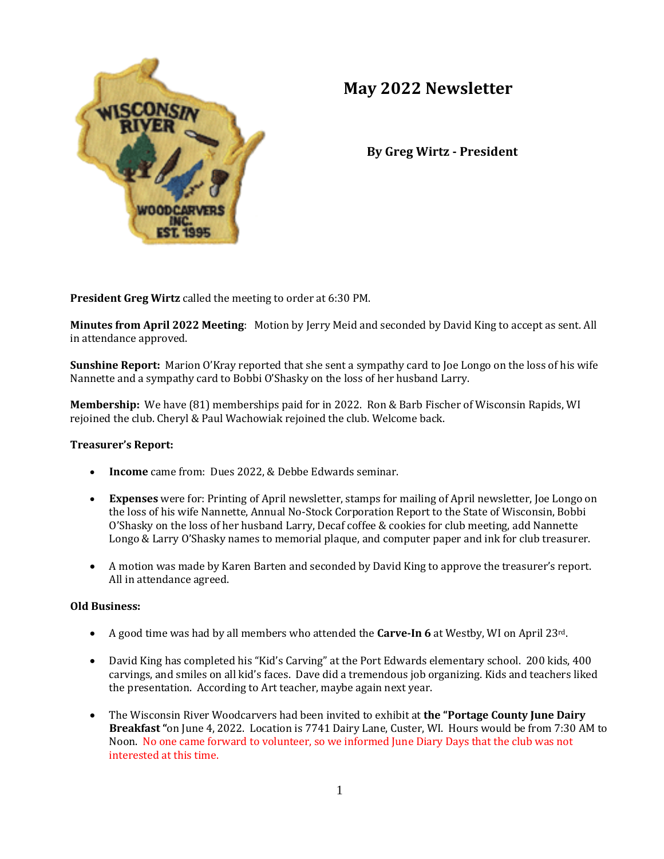

# **May 2022 Newsletter**

**By Greg Wirtz - President**

**President Greg Wirtz** called the meeting to order at 6:30 PM.

**Minutes from April 2022 Meeting**: Motion by Jerry Meid and seconded by David King to accept as sent. All in attendance approved.

**Sunshine Report:** Marion O'Kray reported that she sent a sympathy card to Joe Longo on the loss of his wife Nannette and a sympathy card to Bobbi O'Shasky on the loss of her husband Larry.

**Membership:** We have (81) memberships paid for in 2022. Ron & Barb Fischer of Wisconsin Rapids, WI rejoined the club. Cheryl & Paul Wachowiak rejoined the club. Welcome back.

## **Treasurer's Report:**

- **Income** came from: Dues 2022, & Debbe Edwards seminar.
- **Expenses** were for: Printing of April newsletter, stamps for mailing of April newsletter, Joe Longo on the loss of his wife Nannette, Annual No-Stock Corporation Report to the State of Wisconsin, Bobbi O'Shasky on the loss of her husband Larry, Decaf coffee & cookies for club meeting, add Nannette Longo & Larry O'Shasky names to memorial plaque, and computer paper and ink for club treasurer.
- A motion was made by Karen Barten and seconded by David King to approve the treasurer's report. All in attendance agreed.

#### **Old Business:**

- A good time was had by all members who attended the **Carve-In 6** at Westby, WI on April 23rd.
- David King has completed his "Kid's Carving" at the Port Edwards elementary school. 200 kids, 400 carvings, and smiles on all kid's faces. Dave did a tremendous job organizing. Kids and teachers liked the presentation. According to Art teacher, maybe again next year.
- The Wisconsin River Woodcarvers had been invited to exhibit at **the "Portage County June Dairy Breakfast "**on June 4, 2022. Location is 7741 Dairy Lane, Custer, WI.Hours would be from 7:30 AM to Noon. No one came forward to volunteer, so we informed June Diary Days that the club was not interested at this time.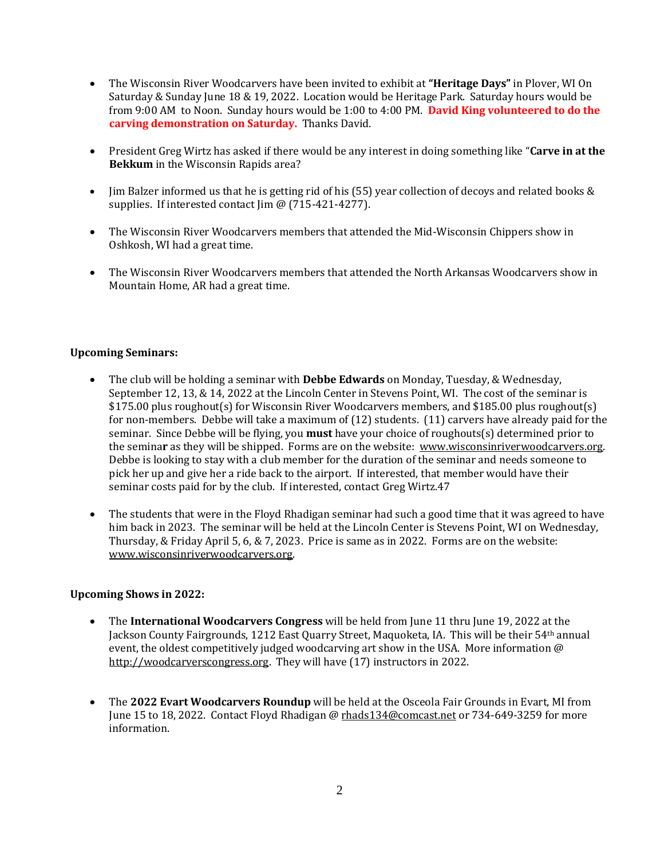- The Wisconsin River Woodcarvers have been invited to exhibit at **"Heritage Days"** in Plover, WI On Saturday & Sunday June 18 & 19, 2022. Location would be Heritage Park. Saturday hours would be from 9:00 AM to Noon. Sunday hours would be 1:00 to 4:00 PM. **David King volunteered to do the carving demonstration on Saturday.** Thanks David.
- President Greg Wirtz has asked if there would be any interest in doing something like "**Carve in at the Bekkum** in the Wisconsin Rapids area?
- Jim Balzer informed us that he is getting rid of his (55) year collection of decoys and related books & supplies. If interested contact Jim @ (715-421-4277).
- The Wisconsin River Woodcarvers members that attended the Mid-Wisconsin Chippers show in Oshkosh, WI had a great time.
- The Wisconsin River Woodcarvers members that attended the North Arkansas Woodcarvers show in Mountain Home, AR had a great time.

## **Upcoming Seminars:**

- The club will be holding a seminar with **Debbe Edwards** on Monday, Tuesday, & Wednesday, September 12, 13, & 14, 2022 at the Lincoln Center in Stevens Point, WI. The cost of the seminar is \$175.00 plus roughout(s) for Wisconsin River Woodcarvers members, and \$185.00 plus roughout(s) for non-members. Debbe will take a maximum of (12) students. (11) carvers have already paid for the seminar. Since Debbe will be flying, you **must** have your choice of roughouts(s) determined prior to the semina**r** as they will be shipped.Forms are on the website: [www.wisconsinriverwoodcarvers.org.](http://www.wisconsinriverwoodcarvers.org/) Debbe is looking to stay with a club member for the duration of the seminar and needs someone to pick her up and give her a ride back to the airport. If interested, that member would have their seminar costs paid for by the club. If interested, contact Greg Wirtz.47
- The students that were in the Floyd Rhadigan seminar had such a good time that it was agreed to have him back in 2023.The seminar will be held at the Lincoln Center is Stevens Point, WI on Wednesday, Thursday, & Friday April 5, 6, & 7, 2023. Price is same as in 2022. Forms are on the website: [www.wisconsinriverwoodcarvers.org.](http://www.wisconsinriverwoodcarvers.org/)

## **Upcoming Shows in 2022:**

- The **International Woodcarvers Congress** will be held from June 11 thru June 19, 2022 at the Jackson County Fairgrounds, 1212 East Quarry Street, Maquoketa, IA. This will be their 54th annual event, the oldest competitively judged woodcarving art show in the USA. More information @ [http://woodcarverscongress.org.](http://woodcarverscongress.org/) They will have (17) instructors in 2022.
- The **2022 Evart Woodcarvers Roundup** will be held at the Osceola Fair Grounds in Evart, MI from June 15 to 18, 2022. Contact Floyd Rhadigan @ [rhads134@comcast.net](mailto:rhads134@comcast.net) or 734-649-3259 for more information.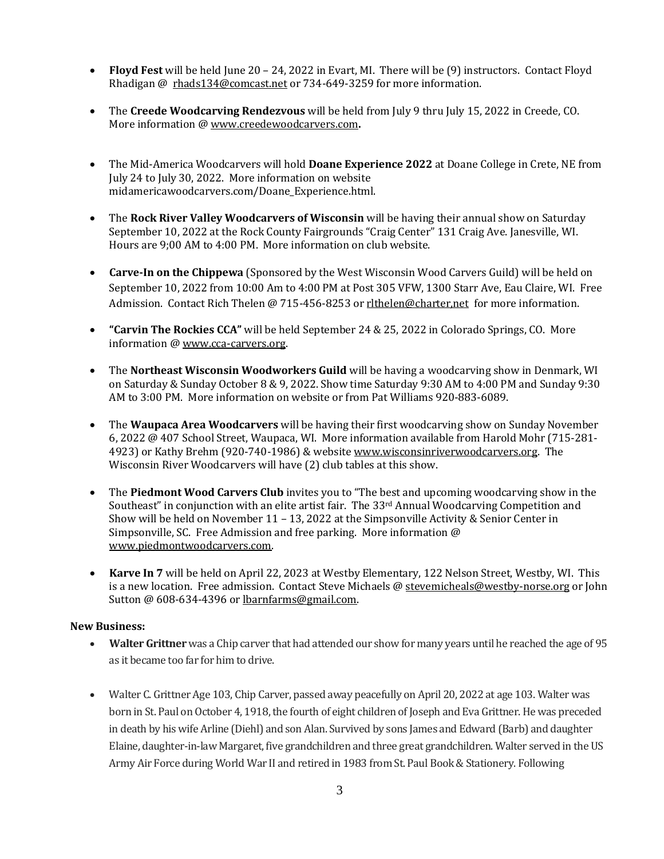- **Floyd Fest** will be held June 20 24, 2022 in Evart, MI. There will be (9) instructors. Contact Floyd Rhadigan @ [rhads134@comcast.net](mailto:rhads134@comcast.net) or 734-649-3259 for more information.
- The **Creede Woodcarving Rendezvous** will be held from July 9 thru July 15, 2022 in Creede, CO. More information [@ www.creedewoodcarvers.com](http://www.creedewoodcarvers.com/)**.**
- The Mid-America Woodcarvers will hold **Doane Experience 2022** at Doane College in Crete, NE from July 24 to July 30, 2022. More information on website midamericawoodcarvers.com/Doane\_Experience.html.
- The **Rock River Valley Woodcarvers of Wisconsin** will be having their annual show on Saturday September 10, 2022 at the Rock County Fairgrounds "Craig Center" 131 Craig Ave. Janesville, WI. Hours are 9;00 AM to 4:00 PM. More information on club website.
- **Carve-In on the Chippewa** (Sponsored by the West Wisconsin Wood Carvers Guild) will be held on September 10, 2022 from 10:00 Am to 4:00 PM at Post 305 VFW, 1300 Starr Ave, Eau Claire, WI. Free Admission. Contact Rich Thelen @ 715-456-8253 or rlthelen@charter,net for more information.
- **"Carvin The Rockies CCA"** will be held September 24 & 25, 2022 in Colorado Springs, CO. More information [@ www.cca-carvers.org.](http://www.cca-carvers.org/)
- The **Northeast Wisconsin Woodworkers Guild** will be having a woodcarving show in Denmark, WI on Saturday & Sunday October 8 & 9, 2022. Show time Saturday 9:30 AM to 4:00 PM and Sunday 9:30 AM to 3:00 PM. More information on website or from Pat Williams 920-883-6089.
- The **Waupaca Area Woodcarvers** will be having their first woodcarving show on Sunday November 6, 2022 @ 407 School Street, Waupaca, WI. More information available from Harold Mohr (715-281- 4923) or Kathy Brehm (920-740-1986) & websit[e www.wisconsinriverwoodcarvers.org.](http://www.wisconsinriverwoodcarvers.org/) The Wisconsin River Woodcarvers will have (2) club tables at this show.
- The **Piedmont Wood Carvers Club** invites you to "The best and upcoming woodcarving show in the Southeast" in conjunction with an elite artist fair. The 33rd Annual Woodcarving Competition and Show will be held on November 11 – 13, 2022 at the Simpsonville Activity & Senior Center in Simpsonville, SC. Free Admission and free parking. More information @ [www.piedmontwoodcarvers.com.](http://www.piedmontwoodcarvers.com/)
- **Karve In 7** will be held on April 22, 2023 at Westby Elementary, 122 Nelson Street, Westby, WI. This is a new location. Free admission. Contact Steve Michaels @ [stevemicheals@westby-norse.org](mailto:stevemicheals@westby-norse.org) or John Sutton @ 608-634-4396 or [lbarnfarms@gmail.com.](mailto:lbarnfarms@gmail.com)

## **New Business:**

- **Walter Grittner** was a Chip carver that had attended our show for many years until he reached the age of 95 as it became too far for him to drive.
- Walter C. Grittner Age 103, Chip Carver, passed away peacefully on April 20, 2022 at age 103. Walter was born in St. Paul on October 4, 1918, the fourth of eight children of Joseph and Eva Grittner. He was preceded in death by his wife Arline (Diehl) and son Alan. Survived by sons James and Edward (Barb) and daughter Elaine, daughter-in-law Margaret, five grandchildren and three great grandchildren. Walter served in the US Army Air Force during World War II and retired in 1983 from St. Paul Book & Stationery. Following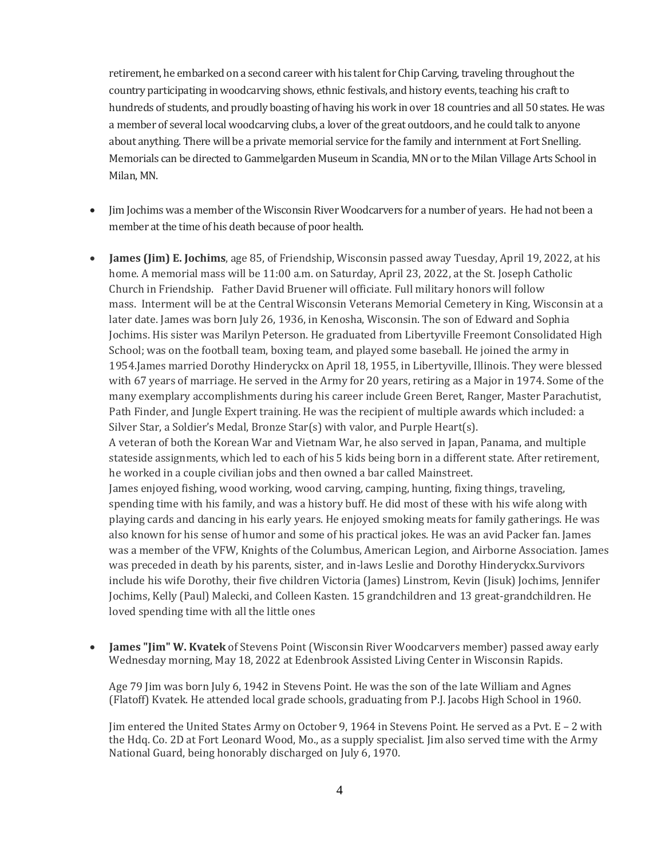retirement, he embarked on a second career with his talent for Chip Carving, traveling throughout the country participating in woodcarving shows, ethnic festivals, and history events, teaching his craft to hundreds of students, and proudly boasting of having his work in over 18 countries and all 50 states. He was a member of several local woodcarving clubs, a lover of the great outdoors, and he could talk to anyone about anything. There will be a private memorial service for the family and internment at Fort Snelling. Memorials can be directed to Gammelgarden Museum in Scandia, MN or to the Milan Village Arts School in Milan, MN.

- Jim Jochims was a member of the Wisconsin River Woodcarvers for a number of years. He had not been a member at the time of his death because of poor health.
- **James (Jim) E. Jochims**, age 85, of Friendship, Wisconsin passed away Tuesday, April 19, 2022, at his home. A memorial mass will be 11:00 a.m. on Saturday, April 23, 2022, at the St. Joseph Catholic Church in Friendship. Father David Bruener will officiate. Full military honors will follow mass. Interment will be at the Central Wisconsin Veterans Memorial Cemetery in King, Wisconsin at a later date. James was born July 26, 1936, in Kenosha, Wisconsin. The son of Edward and Sophia Jochims. His sister was Marilyn Peterson. He graduated from Libertyville Freemont Consolidated High School; was on the football team, boxing team, and played some baseball. He joined the army in 1954.James married Dorothy Hinderyckx on April 18, 1955, in Libertyville, Illinois. They were blessed with 67 years of marriage. He served in the Army for 20 years, retiring as a Major in 1974. Some of the many exemplary accomplishments during his career include Green Beret, Ranger, Master Parachutist, Path Finder, and Jungle Expert training. He was the recipient of multiple awards which included: a Silver Star, a Soldier's Medal, Bronze Star(s) with valor, and Purple Heart(s). A veteran of both the Korean War and Vietnam War, he also served in Japan, Panama, and multiple stateside assignments, which led to each of his 5 kids being born in a different state. After retirement, he worked in a couple civilian jobs and then owned a bar called Mainstreet. James enjoyed fishing, wood working, wood carving, camping, hunting, fixing things, traveling, spending time with his family, and was a history buff. He did most of these with his wife along with playing cards and dancing in his early years. He enjoyed smoking meats for family gatherings. He was also known for his sense of humor and some of his practical jokes. He was an avid Packer fan. James was a member of the VFW, Knights of the Columbus, American Legion, and Airborne Association. James was preceded in death by his parents, sister, and in-laws Leslie and Dorothy Hinderyckx.Survivors include his wife Dorothy, their five children Victoria (James) Linstrom, Kevin (Jisuk) Jochims, Jennifer Jochims, Kelly (Paul) Malecki, and Colleen Kasten. 15 grandchildren and 13 great-grandchildren. He loved spending time with all the little ones
- **James "Jim" W. Kvatek** of Stevens Point (Wisconsin River Woodcarvers member) passed away early Wednesday morning, May 18, 2022 at Edenbrook Assisted Living Center in Wisconsin Rapids.

Age 79 Jim was born July 6, 1942 in Stevens Point. He was the son of the late William and Agnes (Flatoff) Kvatek. He attended local grade schools, graduating from P.J. Jacobs High School in 1960.

Jim entered the United States Army on October 9, 1964 in Stevens Point. He served as a Pvt. E – 2 with the Hdq. Co. 2D at Fort Leonard Wood, Mo., as a supply specialist. Jim also served time with the Army National Guard, being honorably discharged on July 6, 1970.